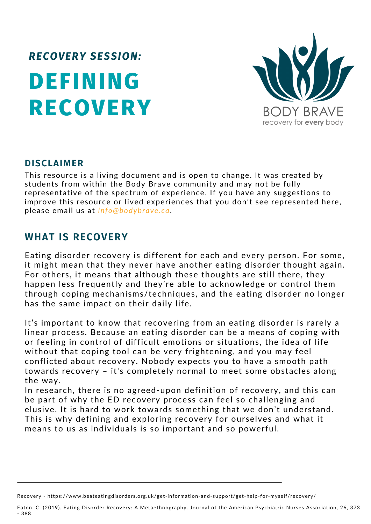# **DEFINING RECOVERY** *RECOVERY SESSION:*



#### **DISCLAIMER**

This resource is a living document and is open to change. It was created by students from within the Body Brave community and may not be fully representative of the spectrum of experience. If you have any suggestions to improve this resource or lived experiences that you don't see represented here, please email us at *info@bodybrave.ca*.

### **WHAT IS RECOVERY**

Eating disorder recovery is different for each and every person. For some, it might mean that they never have another eating [disorder](https://www.beateatingdisorders.org.uk/types) thought again. For others, it means that although these thoughts are still there, they happen less frequently and they're able to acknowledge or control them through coping mechanisms/techniques, and the eating disorder no longer has the same impact on their daily life.

It's important to know that recovering from an eating disorder is rarely a linear process. Because an eating disorder can be a means of coping with or feeling in control of difficult emotions or situations, the idea of life without that coping tool can be very frightening, and you may feel conflicted about recovery. Nobody expects you to have a smooth path towards recovery – it's completely normal to meet some obstacles along the way.

In research, there is no agreed-upon definition of recovery, and this can be part of why the ED recovery process can feel so challenging and elusive. It is hard to work towards something that we don't understand. This is why defining and exploring recovery for ourselves and what it means to us as individuals is so important and so powerful.

Recovery - https://www.beateatingdisorders.org.uk/get-information-and-support/get-help-for-myself/recovery/

Eaton, C. (2019). Eating Disorder Recovery: A Metaethnography. Journal of the American Psychiatric Nurses Association, 26, 373 - 388.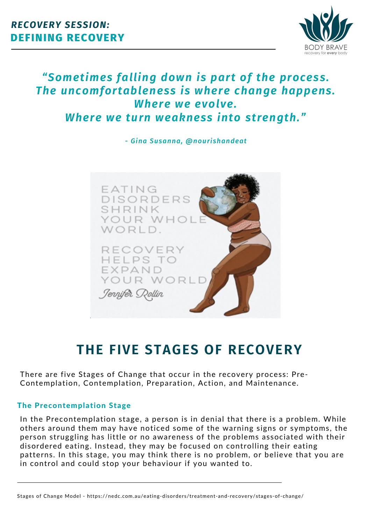

### *"Sometimes falling down is part of the process. The uncomfortableness is where change happens. Where we evolve. Where we turn weakness into strength."*

*- Gina Susanna, @nourishandeat*



# **THE FIVE STAGES OF RECOVERY**

There are five Stages of Change that occur in the recovery process: Pre-Contemplation, Contemplation, Preparation, Action, and Maintenance.

#### The Precontemplation Stage

In the Precontemplation stage, a person is in denial that there is a problem. While others around them may have noticed some of the warning signs or symptoms, the person struggling has little or no awareness of the problems associated with their disordered eating. Instead, they may be focused on controlling their eating patterns. In this stage, you may think there is no problem, or believe that you are in control and could stop your behaviour if you wanted to.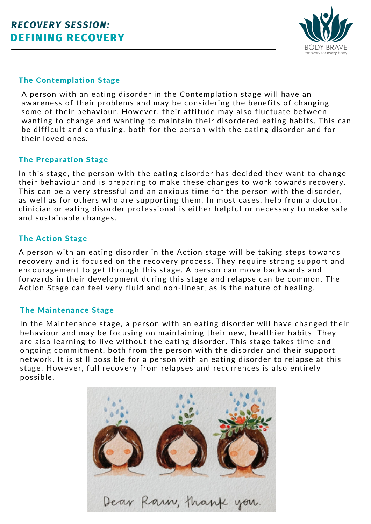

#### The Contemplation Stage

A person with an eating disorder in the Contemplation stage will have an awareness of their problems and may be considering the benefits of changing some of their behaviour. However, their attitude may also fluctuate between wanting to change and wanting to maintain their disordered eating habits. This can be difficult and confusing, both for the person with the eating disorder and for their loved ones.

#### The Preparation Stage

In this stage, the person with the eating disorder has decided they want to change their behaviour and is preparing to make these changes to work towards recovery. This can be a very stressful and an anxious time for the person with the disorder, as well as for others who are supporting them. In most cases, help from a doctor, clinician or eating disorder professional is either helpful or necessary to make safe and sustainable changes.

#### The Action Stage

A person with an eating disorder in the Action stage will be taking steps towards recovery and is focused on the recovery process. They require strong support and encouragement to get through this stage. A person can move backwards and forwards in their development during this stage and relapse can be common. The Action Stage can feel very fluid and non-linear, as is the nature of healing.

#### The Maintenance Stage

In the Maintenance stage, a person with an eating disorder will have changed their behaviour and may be focusing on maintaining their new, healthier habits. They are also learning to live without the eating disorder. This stage takes time and ongoing commitment, both from the person with the disorder and their support network. It is still possible for a person with an eating disorder to relapse at this stage. However, full recovery from relapses and recurrences is also entirely possible.

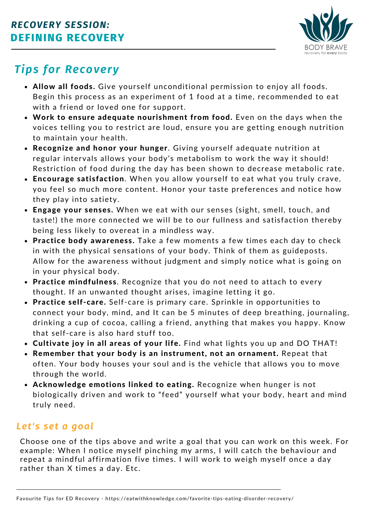

# *Tips for Recovery*

- Allow all foods. Give yourself unconditional permission to enjoy all foods. Begin this process as an experiment of 1 food at a time, recommended to eat with a friend or loved one for support.
- Work to ensure adequate nourishment from food. Even on the days when the voices telling you to restrict are loud, ensure you are getting enough nutrition to maintain your health.
- Recognize and honor your hunger. Giving yourself adequate nutrition at regular intervals allows your body's metabolism to work the way it should! Restriction of food during the day has been shown to decrease metabolic rate.
- Encourage satisfaction. When you allow yourself to eat what you truly crave, you feel so much more content. Honor your taste preferences and notice how they play into satiety.
- Engage your senses. When we eat with our senses (sight, smell, touch, and taste!) the more connected we will be to our fullness and satisfaction thereby being less likely to overeat in a mindless way.
- Practice body awareness. Take a few moments a few times each day to check in with the physical sensations of your body. Think of them as guideposts. Allow for the awareness without judgment and simply notice what is going on in your physical body.
- Practice mindfulness. Recognize that you do not need to attach to every thought. If an unwanted thought arises, imagine letting it go.
- Practice self-care. Self-care is primary care. Sprinkle in opportunities to connect your body, mind, and It can be 5 minutes of deep breathing, journaling, drinking a cup of cocoa, calling a friend, anything that makes you happy. Know that self-care is also hard stuff too.
- Cultivate joy in all areas of your life. Find what lights you up and DO THAT!
- Remember that your body is an instrument, not an ornament. Repeat that often. Your body houses your soul and is the vehicle that allows you to move through the world.
- Acknowledge emotions linked to eating. Recognize when hunger is not biologically driven and work to "feed" yourself what your body, heart and mind truly need.

### *Let's set a goal*

Choose one of the tips above and write a goal that you can work on this week. For example: When I notice myself pinching my arms, I will catch the behaviour and repeat a mindful affirmation five times. I will work to weigh myself once a day rather than X times a day. Etc.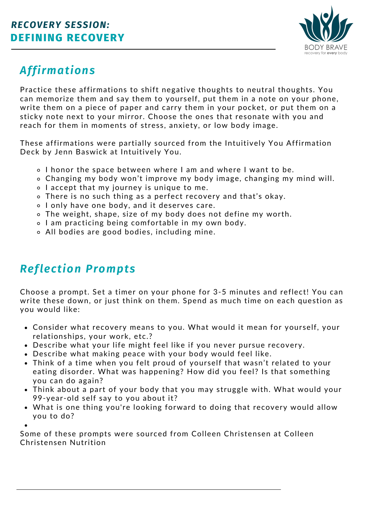

# *Affirmations*

Practice these affirmations to shift negative thoughts to neutral thoughts. You can memorize them and say them to yourself, put them in a note on your phone, write them on a piece of paper and carry them in your pocket, or put them on a sticky note next to your mirror. Choose the ones that resonate with you and reach for them in moments of stress, anxiety, or low body image.

These affirmations were partially sourced from the Intuitively You Affirmation Deck by Jenn Baswick at [Intuitively](https://theintuitivenutritionist.com/) You.

- I honor the space between where I am and where I want to be.
- Changing my body won't improve my body image, changing my mind will.
- o I accept that my journey is unique to me.
- There is no such thing as a perfect recovery and that's okay.
- I only have one body, and it deserves care.
- The weight, shape, size of my body does not define my worth.
- o I am practicing being comfortable in my own body.
- All bodies are good bodies, including mine.

## *Reflection Prompts*

Choose a prompt. Set a timer on your phone for 3-5 minutes and reflect! You can write these down, or just think on them. Spend as much time on each question as you would like:

- Consider what recovery means to you. What would it mean for yourself, your relationships, your work, etc.?
- Describe what your life might feel like if you never pursue recovery.
- Describe what making peace with your body would feel like.
- Think of a time when you felt proud of yourself that wasn't related to your eating disorder. What was happening? How did you feel? Is that something you can do again?
- Think about a part of your body that you may struggle with. What would your 99-year-old self say to you about it?
- What is one thing you're looking forward to doing that recovery would allow you to do?

Some of these prompts were sourced from Colleen Christensen at Colleen [Christensen](https://colleenchristensennutrition.com/40-gratitude-journal-prompts-for-mind-body/#:~:text=Body%20Image%20Journal%20Prompts%201%20Write%203%20things,and%20write%20about%20it.%20...%20More%20items...%20) Nutrition